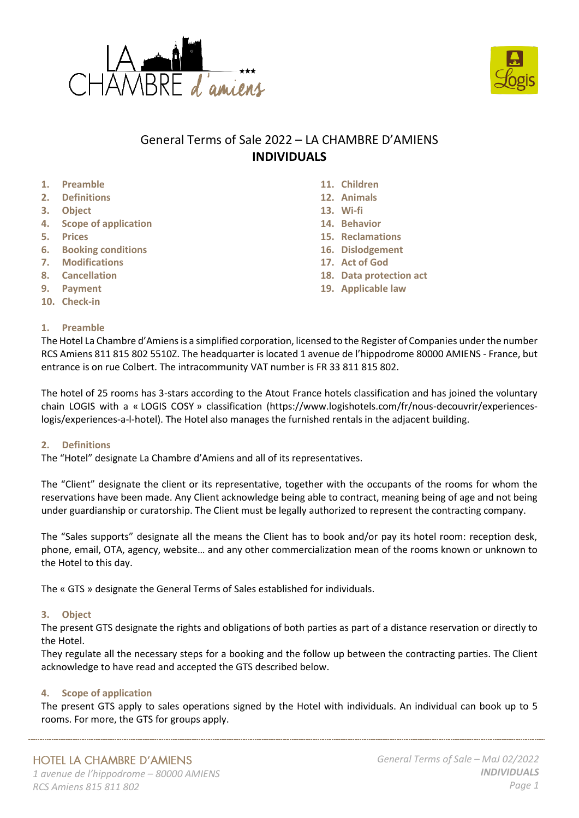



# General Terms of Sale 2022 – LA CHAMBRE D'AMIENS **INDIVIDUALS**

- **1. Preamble**
- **2. Definitions**
- **3. Object**
- **4. Scope of application**
- **5. Prices**
- **6. Booking conditions**
- **7. Modifications**
- **8. Cancellation**
- **9. Payment**
- **10. Check-in**

## **1. Preamble**

- **11. Children**
- **12. Animals**
- **13. Wi-fi**
- **14. Behavior**
- **15. Reclamations**
- **16. Dislodgement**
- **17. Act of God**
- **18. Data protection act**
- **19. Applicable law**

The Hotel La Chambre d'Amiensis a simplified corporation, licensed to the Register of Companies under the number RCS Amiens 811 815 802 5510Z. The headquarter is located 1 avenue de l'hippodrome 80000 AMIENS - France, but entrance is on rue Colbert. The intracommunity VAT number is FR 33 811 815 802.

The hotel of 25 rooms has 3-stars according to the Atout France hotels classification and has joined the voluntary chain LOGIS with a « LOGIS COSY » classification (https://www.logishotels.com/fr/nous-decouvrir/experienceslogis/experiences-a-l-hotel). The Hotel also manages the furnished rentals in the adjacent building.

### **2. Definitions**

The "Hotel" designate La Chambre d'Amiens and all of its representatives.

The "Client" designate the client or its representative, together with the occupants of the rooms for whom the reservations have been made. Any Client acknowledge being able to contract, meaning being of age and not being under guardianship or curatorship. The Client must be legally authorized to represent the contracting company.

The "Sales supports" designate all the means the Client has to book and/or pay its hotel room: reception desk, phone, email, OTA, agency, website… and any other commercialization mean of the rooms known or unknown to the Hotel to this day.

The « GTS » designate the General Terms of Sales established for individuals.

# **3. Object**

The present GTS designate the rights and obligations of both parties as part of a distance reservation or directly to the Hotel.

They regulate all the necessary steps for a booking and the follow up between the contracting parties. The Client acknowledge to have read and accepted the GTS described below.

### **4. Scope of application**

The present GTS apply to sales operations signed by the Hotel with individuals. An individual can book up to 5 rooms. For more, the GTS for groups apply.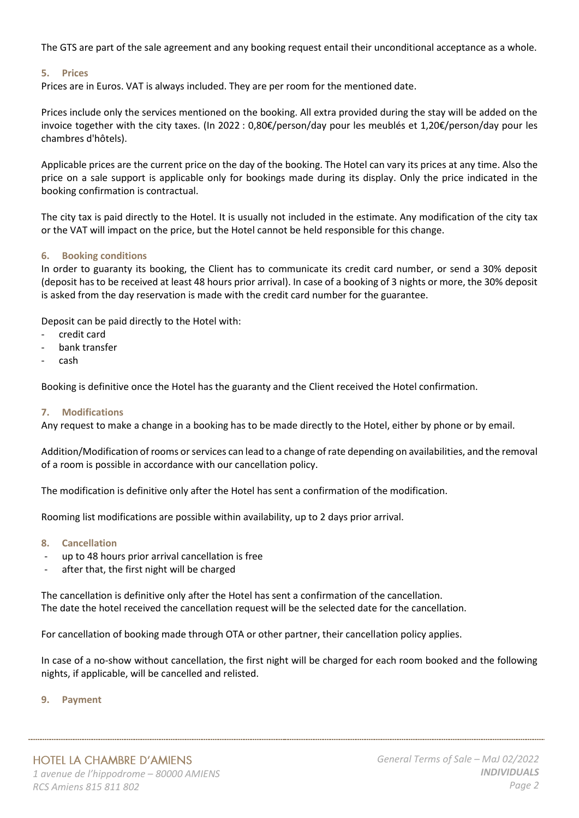The GTS are part of the sale agreement and any booking request entail their unconditional acceptance as a whole.

## **5. Prices**

Prices are in Euros. VAT is always included. They are per room for the mentioned date.

Prices include only the services mentioned on the booking. All extra provided during the stay will be added on the invoice together with the city taxes. (In 2022 : 0,80€/person/day pour les meublés et 1,20€/person/day pour les chambres d'hôtels).

Applicable prices are the current price on the day of the booking. The Hotel can vary its prices at any time. Also the price on a sale support is applicable only for bookings made during its display. Only the price indicated in the booking confirmation is contractual.

The city tax is paid directly to the Hotel. It is usually not included in the estimate. Any modification of the city tax or the VAT will impact on the price, but the Hotel cannot be held responsible for this change.

## **6. Booking conditions**

In order to guaranty its booking, the Client has to communicate its credit card number, or send a 30% deposit (deposit has to be received at least 48 hours prior arrival). In case of a booking of 3 nights or more, the 30% deposit is asked from the day reservation is made with the credit card number for the guarantee.

Deposit can be paid directly to the Hotel with:

- credit card
- bank transfer
- cash

Booking is definitive once the Hotel has the guaranty and the Client received the Hotel confirmation.

### **7. Modifications**

Any request to make a change in a booking has to be made directly to the Hotel, either by phone or by email.

Addition/Modification of rooms or services can lead to a change of rate depending on availabilities, and the removal of a room is possible in accordance with our cancellation policy.

The modification is definitive only after the Hotel has sent a confirmation of the modification.

Rooming list modifications are possible within availability, up to 2 days prior arrival.

### **8. Cancellation**

- up to 48 hours prior arrival cancellation is free
- after that, the first night will be charged

The cancellation is definitive only after the Hotel has sent a confirmation of the cancellation. The date the hotel received the cancellation request will be the selected date for the cancellation.

For cancellation of booking made through OTA or other partner, their cancellation policy applies.

In case of a no-show without cancellation, the first night will be charged for each room booked and the following nights, if applicable, will be cancelled and relisted.

### **9. Payment**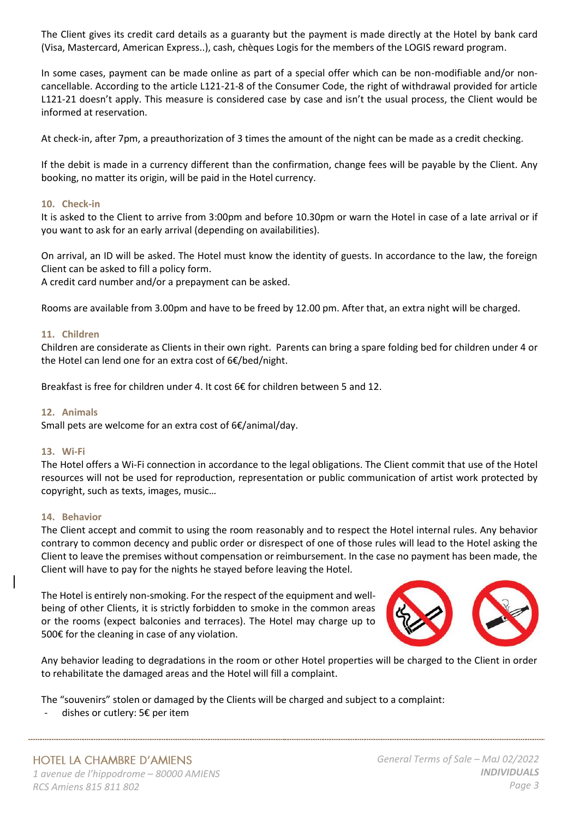The Client gives its credit card details as a guaranty but the payment is made directly at the Hotel by bank card (Visa, Mastercard, American Express..), cash, chèques Logis for the members of the LOGIS reward program.

In some cases, payment can be made online as part of a special offer which can be non-modifiable and/or noncancellable. According to the article L121-21-8 of the Consumer Code, the right of withdrawal provided for article L121-21 doesn't apply. This measure is considered case by case and isn't the usual process, the Client would be informed at reservation.

At check-in, after 7pm, a preauthorization of 3 times the amount of the night can be made as a credit checking.

If the debit is made in a currency different than the confirmation, change fees will be payable by the Client. Any booking, no matter its origin, will be paid in the Hotel currency.

## **10. Check-in**

It is asked to the Client to arrive from 3:00pm and before 10.30pm or warn the Hotel in case of a late arrival or if you want to ask for an early arrival (depending on availabilities).

On arrival, an ID will be asked. The Hotel must know the identity of guests. In accordance to the law, the foreign Client can be asked to fill a policy form.

A credit card number and/or a prepayment can be asked.

Rooms are available from 3.00pm and have to be freed by 12.00 pm. After that, an extra night will be charged.

## **11. Children**

Children are considerate as Clients in their own right. Parents can bring a spare folding bed for children under 4 or the Hotel can lend one for an extra cost of 6€/bed/night.

Breakfast is free for children under 4. It cost  $66$  for children between 5 and 12.

## **12. Animals**

Small pets are welcome for an extra cost of 6€/animal/day.

### **13. Wi-Fi**

The Hotel offers a Wi-Fi connection in accordance to the legal obligations. The Client commit that use of the Hotel resources will not be used for reproduction, representation or public communication of artist work protected by copyright, such as texts, images, music…

# **14. Behavior**

The Client accept and commit to using the room reasonably and to respect the Hotel internal rules. Any behavior contrary to common decency and public order or disrespect of one of those rules will lead to the Hotel asking the Client to leave the premises without compensation or reimbursement. In the case no payment has been made, the Client will have to pay for the nights he stayed before leaving the Hotel.

The Hotel is entirely non-smoking. For the respect of the equipment and wellbeing of other Clients, it is strictly forbidden to smoke in the common areas or the rooms (expect balconies and terraces). The Hotel may charge up to 500€ for the cleaning in case of any violation.



Any behavior leading to degradations in the room or other Hotel properties will be charged to the Client in order to rehabilitate the damaged areas and the Hotel will fill a complaint.

The "souvenirs" stolen or damaged by the Clients will be charged and subject to a complaint:

dishes or cutlery:  $5 \epsilon$  per item